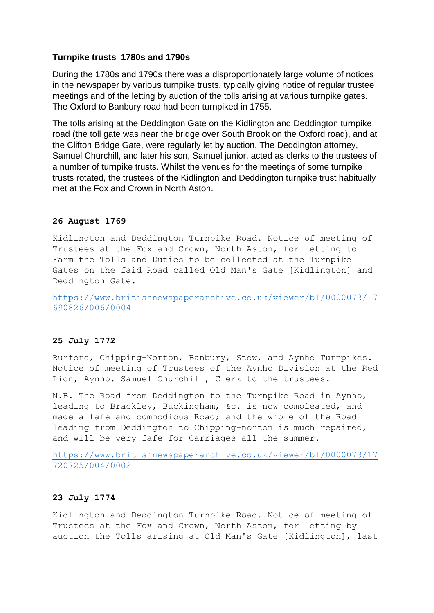## **Turnpike trusts 1780s and 1790s**

During the 1780s and 1790s there was a disproportionately large volume of notices in the newspaper by various turnpike trusts, typically giving notice of regular trustee meetings and of the letting by auction of the tolls arising at various turnpike gates. The Oxford to Banbury road had been turnpiked in 1755.

The tolls arising at the Deddington Gate on the Kidlington and Deddington turnpike road (the toll gate was near the bridge over South Brook on the Oxford road), and at the Clifton Bridge Gate, were regularly let by auction. The Deddington attorney, Samuel Churchill, and later his son, Samuel junior, acted as clerks to the trustees of a number of turnpike trusts. Whilst the venues for the meetings of some turnpike trusts rotated, the trustees of the Kidlington and Deddington turnpike trust habitually met at the Fox and Crown in North Aston.

## **26 August 1769**

Kidlington and Deddington Turnpike Road. Notice of meeting of Trustees at the Fox and Crown, North Aston, for letting to Farm the Tolls and Duties to be collected at the Turnpike Gates on the faid Road called Old Man's Gate [Kidlington] and Deddington Gate.

[https://www.britishnewspaperarchive.co.uk/viewer/bl/0000073/17](https://www.britishnewspaperarchive.co.uk/viewer/bl/0000073/17690826/006/0004) [690826/006/0004](https://www.britishnewspaperarchive.co.uk/viewer/bl/0000073/17690826/006/0004)

## **25 July 1772**

Burford, Chipping-Norton, Banbury, Stow, and Aynho Turnpikes. Notice of meeting of Trustees of the Aynho Division at the Red Lion, Aynho. Samuel Churchill, Clerk to the trustees.

N.B. The Road from Deddington to the Turnpike Road in Aynho, leading to Brackley, Buckingham, &c. is now compleated, and made a fafe and commodious Road; and the whole of the Road leading from Deddington to Chipping-norton is much repaired, and will be very fafe for Carriages all the summer.

[https://www.britishnewspaperarchive.co.uk/viewer/bl/0000073/17](https://www.britishnewspaperarchive.co.uk/viewer/bl/0000073/17720725/004/0002) [720725/004/0002](https://www.britishnewspaperarchive.co.uk/viewer/bl/0000073/17720725/004/0002)

## **23 July 1774**

Kidlington and Deddington Turnpike Road. Notice of meeting of Trustees at the Fox and Crown, North Aston, for letting by auction the Tolls arising at Old Man's Gate [Kidlington], last